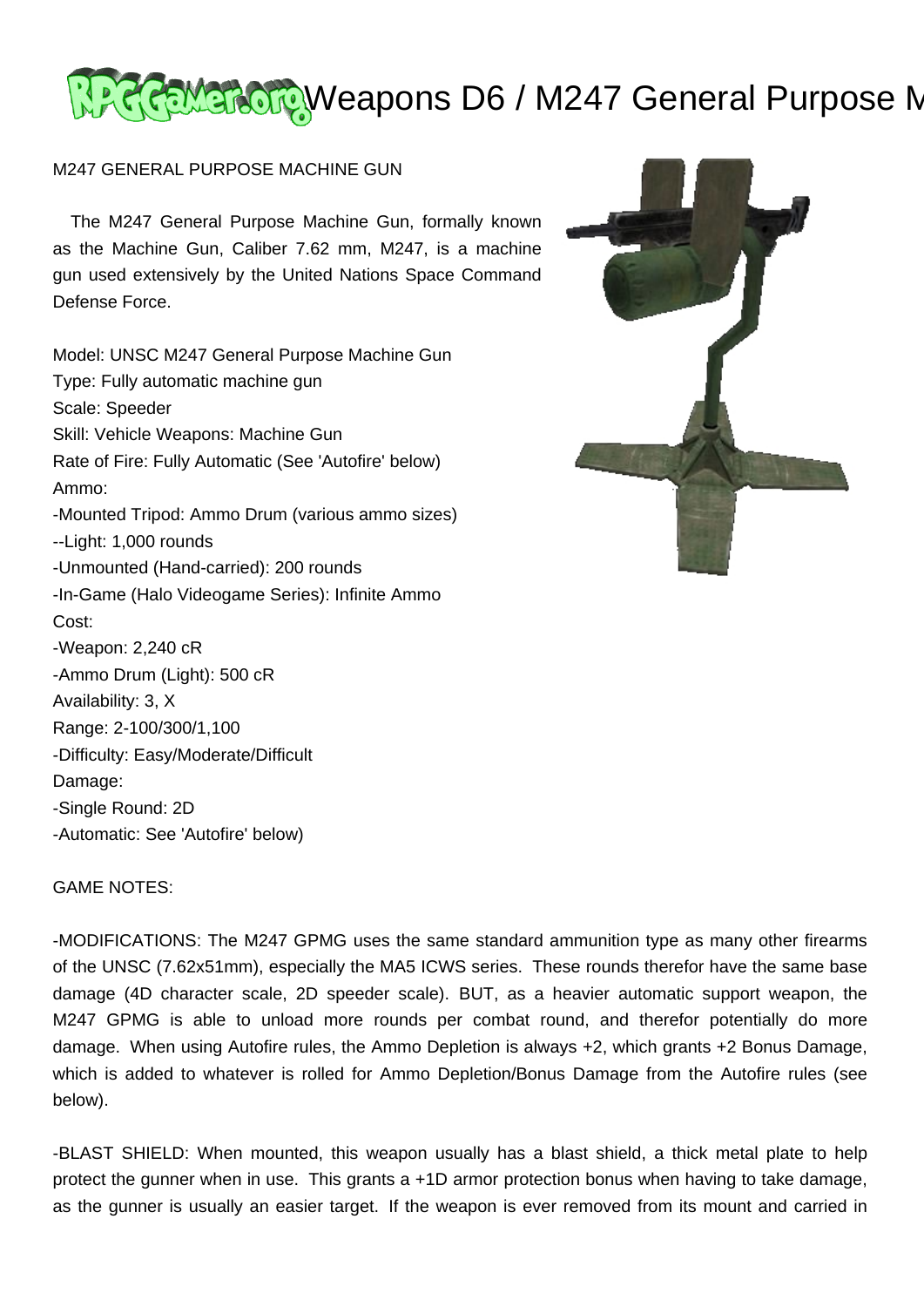# GEMEROTOWeapons D6 / M247 General Purpose M

## M247 GENERAL PURPOSE MACHINE GUN

 The M247 General Purpose Machine Gun, formally known as the Machine Gun, Caliber 7.62 mm, M247, is a machine gun used extensively by the United Nations Space Command Defense Force.

Model: UNSC M247 General Purpose Machine Gun Type: Fully automatic machine gun Scale: Speeder Skill: Vehicle Weapons: Machine Gun Rate of Fire: Fully Automatic (See 'Autofire' below) Ammo: -Mounted Tripod: Ammo Drum (various ammo sizes) --Light: 1,000 rounds -Unmounted (Hand-carried): 200 rounds -In-Game (Halo Videogame Series): Infinite Ammo Cost: -Weapon: 2,240 cR -Ammo Drum (Light): 500 cR Availability: 3, X Range: 2-100/300/1,100 -Difficulty: Easy/Moderate/Difficult Damage: -Single Round: 2D -Automatic: See 'Autofire' below)



## GAME NOTES:

-MODIFICATIONS: The M247 GPMG uses the same standard ammunition type as many other firearms of the UNSC (7.62x51mm), especially the MA5 ICWS series. These rounds therefor have the same base damage (4D character scale, 2D speeder scale). BUT, as a heavier automatic support weapon, the M247 GPMG is able to unload more rounds per combat round, and therefor potentially do more damage. When using Autofire rules, the Ammo Depletion is always +2, which grants +2 Bonus Damage, which is added to whatever is rolled for Ammo Depletion/Bonus Damage from the Autofire rules (see below).

-BLAST SHIELD: When mounted, this weapon usually has a blast shield, a thick metal plate to help protect the gunner when in use. This grants a +1D armor protection bonus when having to take damage, as the gunner is usually an easier target. If the weapon is ever removed from its mount and carried in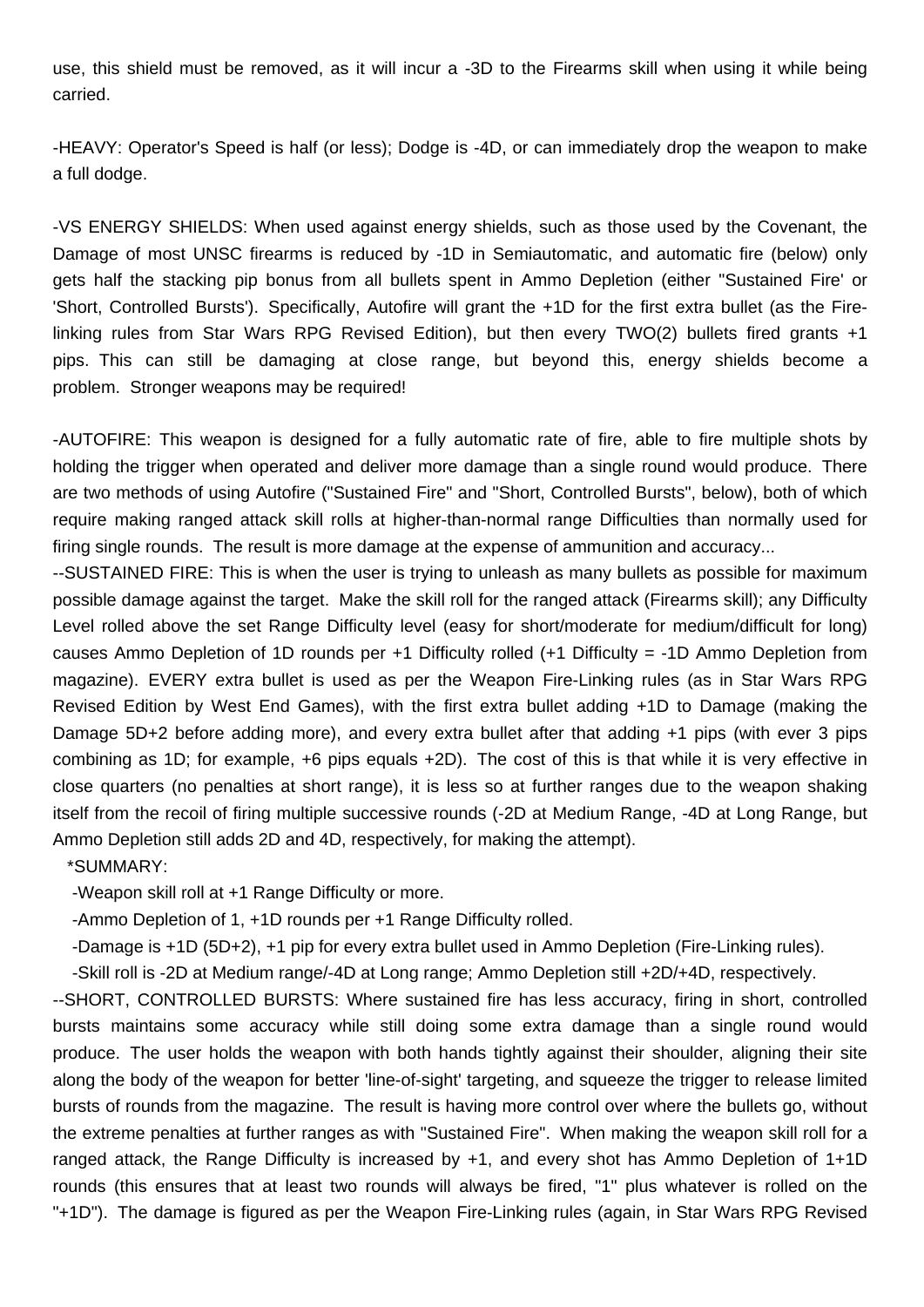use, this shield must be removed, as it will incur a -3D to the Firearms skill when using it while being carried.

-HEAVY: Operator's Speed is half (or less); Dodge is -4D, or can immediately drop the weapon to make a full dodge.

-VS ENERGY SHIELDS: When used against energy shields, such as those used by the Covenant, the Damage of most UNSC firearms is reduced by -1D in Semiautomatic, and automatic fire (below) only gets half the stacking pip bonus from all bullets spent in Ammo Depletion (either "Sustained Fire' or 'Short, Controlled Bursts'). Specifically, Autofire will grant the +1D for the first extra bullet (as the Firelinking rules from Star Wars RPG Revised Edition), but then every TWO(2) bullets fired grants +1 pips. This can still be damaging at close range, but beyond this, energy shields become a problem. Stronger weapons may be required!

-AUTOFIRE: This weapon is designed for a fully automatic rate of fire, able to fire multiple shots by holding the trigger when operated and deliver more damage than a single round would produce. There are two methods of using Autofire ("Sustained Fire" and "Short, Controlled Bursts", below), both of which require making ranged attack skill rolls at higher-than-normal range Difficulties than normally used for firing single rounds. The result is more damage at the expense of ammunition and accuracy...

--SUSTAINED FIRE: This is when the user is trying to unleash as many bullets as possible for maximum possible damage against the target. Make the skill roll for the ranged attack (Firearms skill); any Difficulty Level rolled above the set Range Difficulty level (easy for short/moderate for medium/difficult for long) causes Ammo Depletion of 1D rounds per +1 Difficulty rolled (+1 Difficulty = -1D Ammo Depletion from magazine). EVERY extra bullet is used as per the Weapon Fire-Linking rules (as in Star Wars RPG Revised Edition by West End Games), with the first extra bullet adding +1D to Damage (making the Damage 5D+2 before adding more), and every extra bullet after that adding +1 pips (with ever 3 pips combining as 1D; for example, +6 pips equals +2D). The cost of this is that while it is very effective in close quarters (no penalties at short range), it is less so at further ranges due to the weapon shaking itself from the recoil of firing multiple successive rounds (-2D at Medium Range, -4D at Long Range, but Ammo Depletion still adds 2D and 4D, respectively, for making the attempt).

\*SUMMARY:

-Weapon skill roll at +1 Range Difficulty or more.

-Ammo Depletion of 1, +1D rounds per +1 Range Difficulty rolled.

-Damage is +1D (5D+2), +1 pip for every extra bullet used in Ammo Depletion (Fire-Linking rules).

-Skill roll is -2D at Medium range/-4D at Long range; Ammo Depletion still +2D/+4D, respectively.

--SHORT, CONTROLLED BURSTS: Where sustained fire has less accuracy, firing in short, controlled bursts maintains some accuracy while still doing some extra damage than a single round would produce. The user holds the weapon with both hands tightly against their shoulder, aligning their site along the body of the weapon for better 'line-of-sight' targeting, and squeeze the trigger to release limited bursts of rounds from the magazine. The result is having more control over where the bullets go, without the extreme penalties at further ranges as with "Sustained Fire". When making the weapon skill roll for a ranged attack, the Range Difficulty is increased by +1, and every shot has Ammo Depletion of 1+1D rounds (this ensures that at least two rounds will always be fired, "1" plus whatever is rolled on the "+1D"). The damage is figured as per the Weapon Fire-Linking rules (again, in Star Wars RPG Revised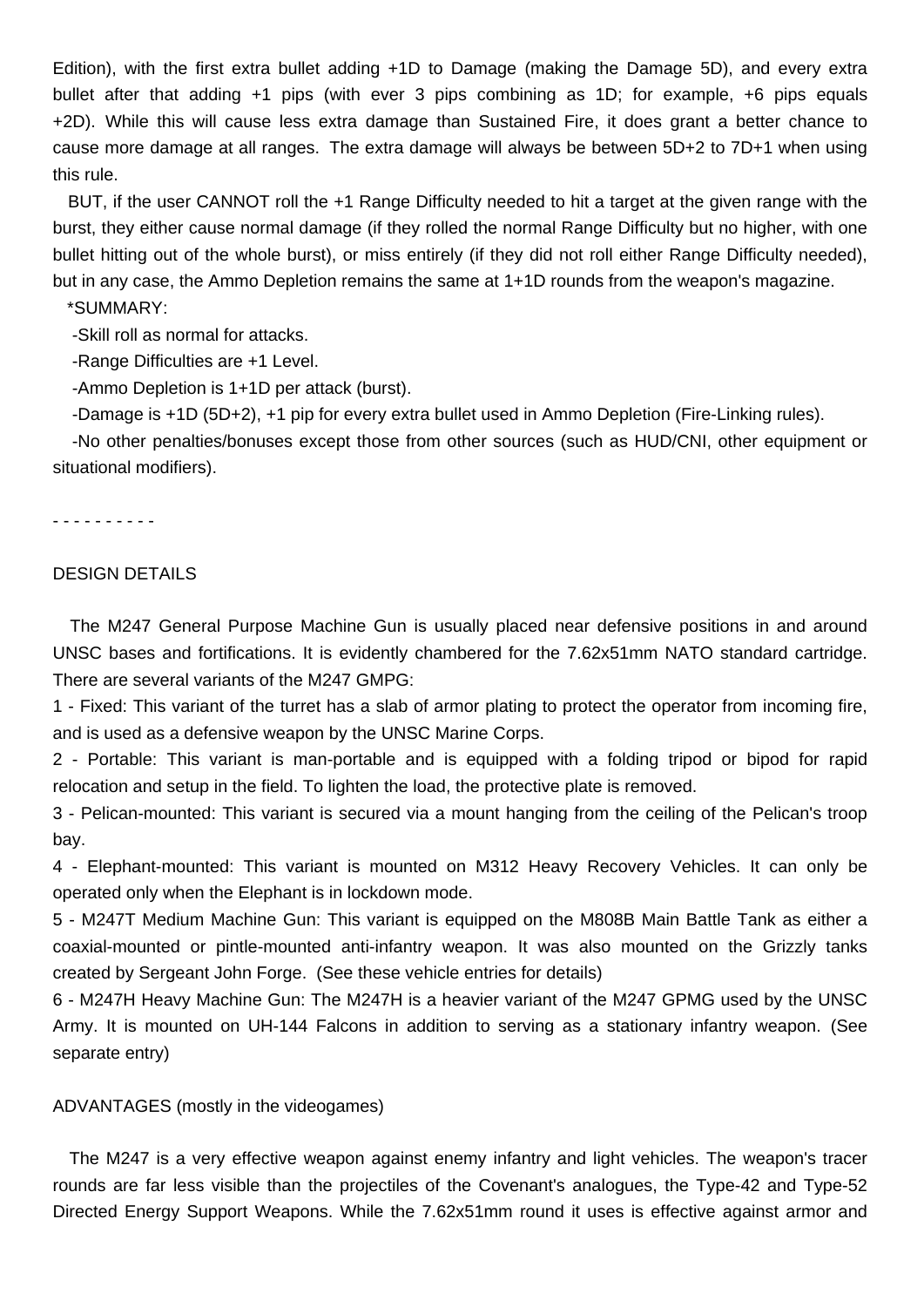Edition), with the first extra bullet adding +1D to Damage (making the Damage 5D), and every extra bullet after that adding +1 pips (with ever 3 pips combining as 1D; for example, +6 pips equals +2D). While this will cause less extra damage than Sustained Fire, it does grant a better chance to cause more damage at all ranges. The extra damage will always be between 5D+2 to 7D+1 when using this rule.

 BUT, if the user CANNOT roll the +1 Range Difficulty needed to hit a target at the given range with the burst, they either cause normal damage (if they rolled the normal Range Difficulty but no higher, with one bullet hitting out of the whole burst), or miss entirely (if they did not roll either Range Difficulty needed), but in any case, the Ammo Depletion remains the same at 1+1D rounds from the weapon's magazine.

\*SUMMARY:

-Skill roll as normal for attacks.

-Range Difficulties are +1 Level.

-Ammo Depletion is 1+1D per attack (burst).

-Damage is +1D (5D+2), +1 pip for every extra bullet used in Ammo Depletion (Fire-Linking rules).

 -No other penalties/bonuses except those from other sources (such as HUD/CNI, other equipment or situational modifiers).

- - - - - - - - - -

## DESIGN DETAILS

 The M247 General Purpose Machine Gun is usually placed near defensive positions in and around UNSC bases and fortifications. It is evidently chambered for the 7.62x51mm NATO standard cartridge. There are several variants of the M247 GMPG:

1 - Fixed: This variant of the turret has a slab of armor plating to protect the operator from incoming fire, and is used as a defensive weapon by the UNSC Marine Corps.

2 - Portable: This variant is man-portable and is equipped with a folding tripod or bipod for rapid relocation and setup in the field. To lighten the load, the protective plate is removed.

3 - Pelican-mounted: This variant is secured via a mount hanging from the ceiling of the Pelican's troop bay.

4 - Elephant-mounted: This variant is mounted on M312 Heavy Recovery Vehicles. It can only be operated only when the Elephant is in lockdown mode.

5 - M247T Medium Machine Gun: This variant is equipped on the M808B Main Battle Tank as either a coaxial-mounted or pintle-mounted anti-infantry weapon. It was also mounted on the Grizzly tanks created by Sergeant John Forge. (See these vehicle entries for details)

6 - M247H Heavy Machine Gun: The M247H is a heavier variant of the M247 GPMG used by the UNSC Army. It is mounted on UH-144 Falcons in addition to serving as a stationary infantry weapon. (See separate entry)

### ADVANTAGES (mostly in the videogames)

 The M247 is a very effective weapon against enemy infantry and light vehicles. The weapon's tracer rounds are far less visible than the projectiles of the Covenant's analogues, the Type-42 and Type-52 Directed Energy Support Weapons. While the 7.62x51mm round it uses is effective against armor and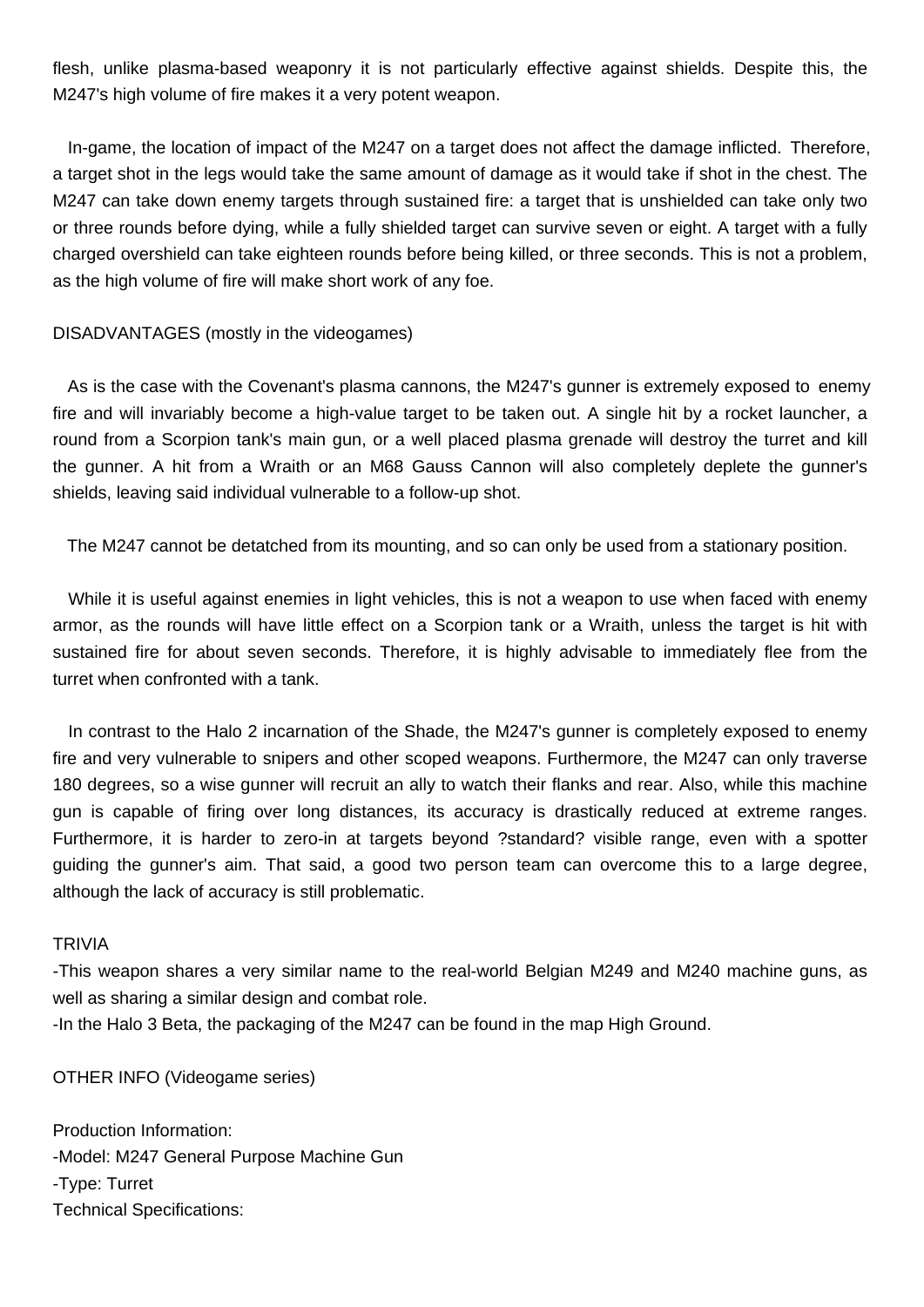flesh, unlike plasma-based weaponry it is not particularly effective against shields. Despite this, the M247's high volume of fire makes it a very potent weapon.

 In-game, the location of impact of the M247 on a target does not affect the damage inflicted. Therefore, a target shot in the legs would take the same amount of damage as it would take if shot in the chest. The M247 can take down enemy targets through sustained fire: a target that is unshielded can take only two or three rounds before dying, while a fully shielded target can survive seven or eight. A target with a fully charged overshield can take eighteen rounds before being killed, or three seconds. This is not a problem, as the high volume of fire will make short work of any foe.

### DISADVANTAGES (mostly in the videogames)

 As is the case with the Covenant's plasma cannons, the M247's gunner is extremely exposed to enemy fire and will invariably become a high-value target to be taken out. A single hit by a rocket launcher, a round from a Scorpion tank's main gun, or a well placed plasma grenade will destroy the turret and kill the gunner. A hit from a Wraith or an M68 Gauss Cannon will also completely deplete the gunner's shields, leaving said individual vulnerable to a follow-up shot.

The M247 cannot be detatched from its mounting, and so can only be used from a stationary position.

 While it is useful against enemies in light vehicles, this is not a weapon to use when faced with enemy armor, as the rounds will have little effect on a Scorpion tank or a Wraith, unless the target is hit with sustained fire for about seven seconds. Therefore, it is highly advisable to immediately flee from the turret when confronted with a tank.

 In contrast to the Halo 2 incarnation of the Shade, the M247's gunner is completely exposed to enemy fire and very vulnerable to snipers and other scoped weapons. Furthermore, the M247 can only traverse 180 degrees, so a wise gunner will recruit an ally to watch their flanks and rear. Also, while this machine gun is capable of firing over long distances, its accuracy is drastically reduced at extreme ranges. Furthermore, it is harder to zero-in at targets beyond ?standard? visible range, even with a spotter guiding the gunner's aim. That said, a good two person team can overcome this to a large degree, although the lack of accuracy is still problematic.

#### TRIVIA

-This weapon shares a very similar name to the real-world Belgian M249 and M240 machine guns, as well as sharing a similar design and combat role.

-In the Halo 3 Beta, the packaging of the M247 can be found in the map High Ground.

OTHER INFO (Videogame series)

Production Information: -Model: M247 General Purpose Machine Gun -Type: Turret Technical Specifications: